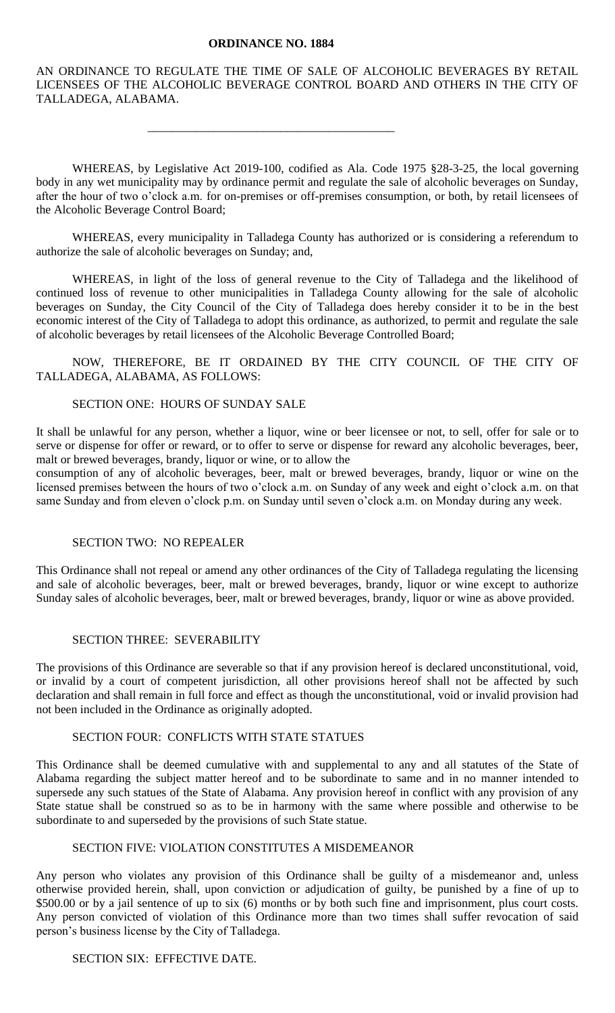#### **ORDINANCE NO. 1884**

\_\_\_\_\_\_\_\_\_\_\_\_\_\_\_\_\_\_\_\_\_\_\_\_\_\_\_\_\_\_\_\_\_\_\_\_\_\_\_\_\_

AN ORDINANCE TO REGULATE THE TIME OF SALE OF ALCOHOLIC BEVERAGES BY RETAIL LICENSEES OF THE ALCOHOLIC BEVERAGE CONTROL BOARD AND OTHERS IN THE CITY OF TALLADEGA, ALABAMA.

WHEREAS, by Legislative Act 2019-100, codified as Ala. Code 1975 §28-3-25, the local governing body in any wet municipality may by ordinance permit and regulate the sale of alcoholic beverages on Sunday, after the hour of two o'clock a.m. for on-premises or off-premises consumption, or both, by retail licensees of the Alcoholic Beverage Control Board;

WHEREAS, every municipality in Talladega County has authorized or is considering a referendum to authorize the sale of alcoholic beverages on Sunday; and,

WHEREAS, in light of the loss of general revenue to the City of Talladega and the likelihood of continued loss of revenue to other municipalities in Talladega County allowing for the sale of alcoholic beverages on Sunday, the City Council of the City of Talladega does hereby consider it to be in the best economic interest of the City of Talladega to adopt this ordinance, as authorized, to permit and regulate the sale of alcoholic beverages by retail licensees of the Alcoholic Beverage Controlled Board;

NOW, THEREFORE, BE IT ORDAINED BY THE CITY COUNCIL OF THE CITY OF TALLADEGA, ALABAMA, AS FOLLOWS:

## SECTION ONE: HOURS OF SUNDAY SALE

It shall be unlawful for any person, whether a liquor, wine or beer licensee or not, to sell, offer for sale or to serve or dispense for offer or reward, or to offer to serve or dispense for reward any alcoholic beverages, beer, malt or brewed beverages, brandy, liquor or wine, or to allow the

consumption of any of alcoholic beverages, beer, malt or brewed beverages, brandy, liquor or wine on the licensed premises between the hours of two o'clock a.m. on Sunday of any week and eight o'clock a.m. on that same Sunday and from eleven o'clock p.m. on Sunday until seven o'clock a.m. on Monday during any week.

#### SECTION TWO: NO REPEALER

This Ordinance shall not repeal or amend any other ordinances of the City of Talladega regulating the licensing and sale of alcoholic beverages, beer, malt or brewed beverages, brandy, liquor or wine except to authorize Sunday sales of alcoholic beverages, beer, malt or brewed beverages, brandy, liquor or wine as above provided.

### SECTION THREE: SEVERABILITY

The provisions of this Ordinance are severable so that if any provision hereof is declared unconstitutional, void, or invalid by a court of competent jurisdiction, all other provisions hereof shall not be affected by such declaration and shall remain in full force and effect as though the unconstitutional, void or invalid provision had not been included in the Ordinance as originally adopted.

# SECTION FOUR: CONFLICTS WITH STATE STATUES

This Ordinance shall be deemed cumulative with and supplemental to any and all statutes of the State of Alabama regarding the subject matter hereof and to be subordinate to same and in no manner intended to supersede any such statues of the State of Alabama. Any provision hereof in conflict with any provision of any State statue shall be construed so as to be in harmony with the same where possible and otherwise to be subordinate to and superseded by the provisions of such State statue.

### SECTION FIVE: VIOLATION CONSTITUTES A MISDEMEANOR

Any person who violates any provision of this Ordinance shall be guilty of a misdemeanor and, unless otherwise provided herein, shall, upon conviction or adjudication of guilty, be punished by a fine of up to \$500.00 or by a jail sentence of up to six (6) months or by both such fine and imprisonment, plus court costs. Any person convicted of violation of this Ordinance more than two times shall suffer revocation of said person's business license by the City of Talladega.

### SECTION SIX: EFFECTIVE DATE.